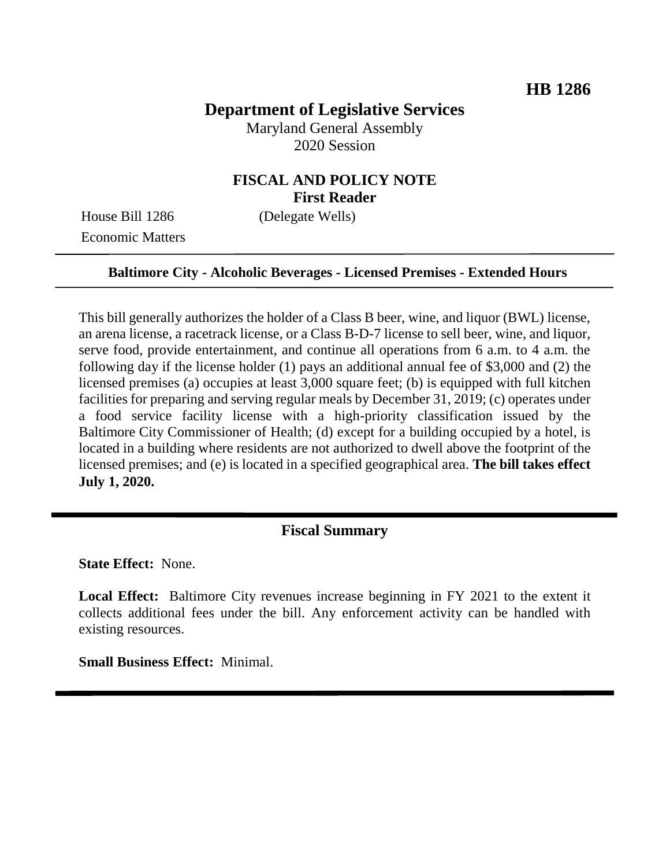## **Department of Legislative Services**

Maryland General Assembly 2020 Session

### **FISCAL AND POLICY NOTE First Reader**

House Bill 1286 (Delegate Wells) Economic Matters

#### **Baltimore City - Alcoholic Beverages - Licensed Premises - Extended Hours**

This bill generally authorizes the holder of a Class B beer, wine, and liquor (BWL) license, an arena license, a racetrack license, or a Class B-D-7 license to sell beer, wine, and liquor, serve food, provide entertainment, and continue all operations from 6 a.m. to 4 a.m. the following day if the license holder (1) pays an additional annual fee of \$3,000 and (2) the licensed premises (a) occupies at least 3,000 square feet; (b) is equipped with full kitchen facilities for preparing and serving regular meals by December 31, 2019; (c) operates under a food service facility license with a high-priority classification issued by the Baltimore City Commissioner of Health; (d) except for a building occupied by a hotel, is located in a building where residents are not authorized to dwell above the footprint of the licensed premises; and (e) is located in a specified geographical area. **The bill takes effect July 1, 2020.** 

#### **Fiscal Summary**

**State Effect:** None.

**Local Effect:** Baltimore City revenues increase beginning in FY 2021 to the extent it collects additional fees under the bill. Any enforcement activity can be handled with existing resources.

**Small Business Effect:** Minimal.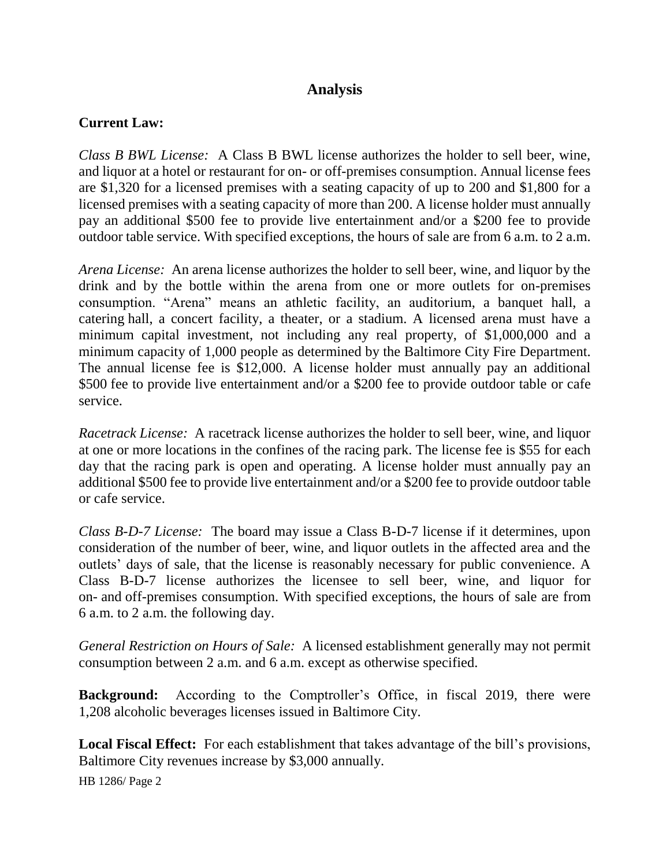## **Analysis**

### **Current Law:**

*Class B BWL License:* A Class B BWL license authorizes the holder to sell beer, wine, and liquor at a hotel or restaurant for on- or off-premises consumption. Annual license fees are \$1,320 for a licensed premises with a seating capacity of up to 200 and \$1,800 for a licensed premises with a seating capacity of more than 200. A license holder must annually pay an additional \$500 fee to provide live entertainment and/or a \$200 fee to provide outdoor table service. With specified exceptions, the hours of sale are from 6 a.m. to 2 a.m.

*Arena License:* An arena license authorizes the holder to sell beer, wine, and liquor by the drink and by the bottle within the arena from one or more outlets for on-premises consumption. "Arena" means an athletic facility, an auditorium, a banquet hall, a catering hall, a concert facility, a theater, or a stadium. A licensed arena must have a minimum capital investment, not including any real property, of \$1,000,000 and a minimum capacity of 1,000 people as determined by the Baltimore City Fire Department. The annual license fee is \$12,000. A license holder must annually pay an additional \$500 fee to provide live entertainment and/or a \$200 fee to provide outdoor table or cafe service.

*Racetrack License:* A racetrack license authorizes the holder to sell beer, wine, and liquor at one or more locations in the confines of the racing park. The license fee is \$55 for each day that the racing park is open and operating. A license holder must annually pay an additional \$500 fee to provide live entertainment and/or a \$200 fee to provide outdoor table or cafe service.

*Class B-D-7 License:* The board may issue a Class B-D-7 license if it determines, upon consideration of the number of beer, wine, and liquor outlets in the affected area and the outlets' days of sale, that the license is reasonably necessary for public convenience. A Class B-D-7 license authorizes the licensee to sell beer, wine, and liquor for on- and off-premises consumption. With specified exceptions, the hours of sale are from 6 a.m. to 2 a.m. the following day.

*General Restriction on Hours of Sale:* A licensed establishment generally may not permit consumption between 2 a.m. and 6 a.m. except as otherwise specified.

**Background:** According to the Comptroller's Office, in fiscal 2019, there were 1,208 alcoholic beverages licenses issued in Baltimore City.

**Local Fiscal Effect:** For each establishment that takes advantage of the bill's provisions, Baltimore City revenues increase by \$3,000 annually.

HB 1286/ Page 2